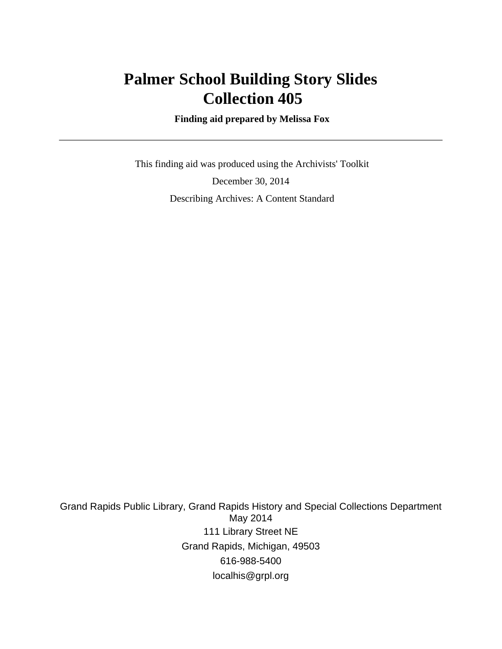# **Palmer School Building Story Slides Collection 405**

 **Finding aid prepared by Melissa Fox**

 This finding aid was produced using the Archivists' Toolkit December 30, 2014 Describing Archives: A Content Standard

Grand Rapids Public Library, Grand Rapids History and Special Collections Department May 2014 111 Library Street NE Grand Rapids, Michigan, 49503 616-988-5400 localhis@grpl.org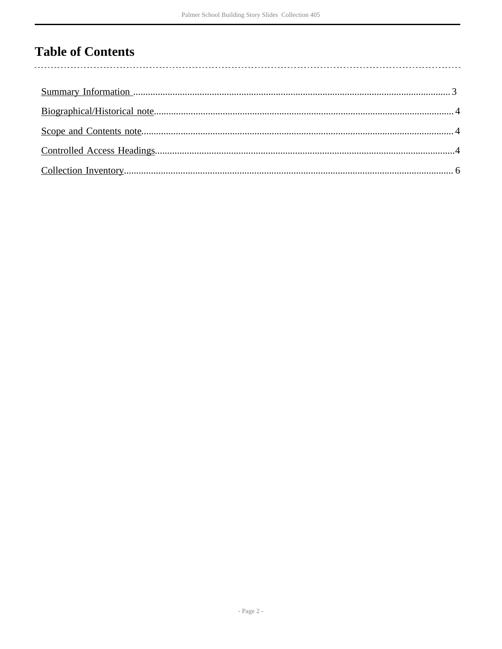# **Table of Contents**

l,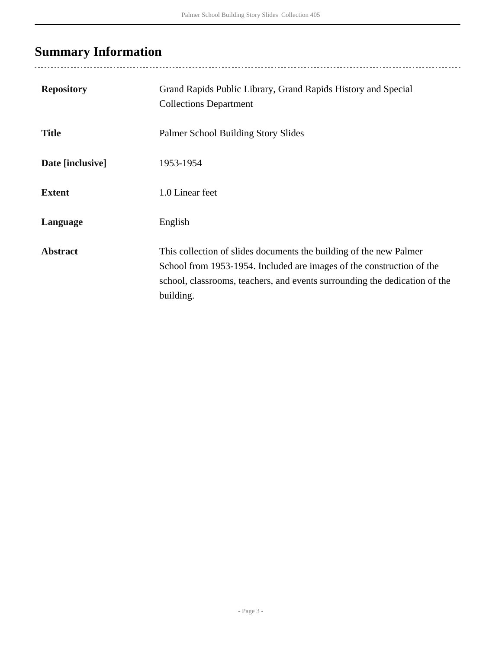# <span id="page-2-0"></span>**Summary Information**

| <b>Repository</b> | Grand Rapids Public Library, Grand Rapids History and Special<br><b>Collections Department</b>                                                                                                                                         |
|-------------------|----------------------------------------------------------------------------------------------------------------------------------------------------------------------------------------------------------------------------------------|
| <b>Title</b>      | Palmer School Building Story Slides                                                                                                                                                                                                    |
| Date [inclusive]  | 1953-1954                                                                                                                                                                                                                              |
| <b>Extent</b>     | 1.0 Linear feet                                                                                                                                                                                                                        |
| Language          | English                                                                                                                                                                                                                                |
| <b>Abstract</b>   | This collection of slides documents the building of the new Palmer<br>School from 1953-1954. Included are images of the construction of the<br>school, classrooms, teachers, and events surrounding the dedication of the<br>building. |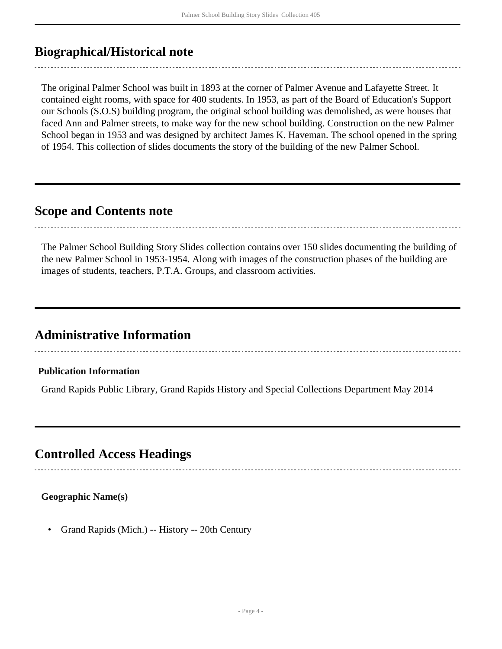## <span id="page-3-0"></span>**Biographical/Historical note**

The original Palmer School was built in 1893 at the corner of Palmer Avenue and Lafayette Street. It contained eight rooms, with space for 400 students. In 1953, as part of the Board of Education's Support our Schools (S.O.S) building program, the original school building was demolished, as were houses that faced Ann and Palmer streets, to make way for the new school building. Construction on the new Palmer School began in 1953 and was designed by architect James K. Haveman. The school opened in the spring of 1954. This collection of slides documents the story of the building of the new Palmer School.

## <span id="page-3-1"></span>**Scope and Contents note**

The Palmer School Building Story Slides collection contains over 150 slides documenting the building of the new Palmer School in 1953-1954. Along with images of the construction phases of the building are images of students, teachers, P.T.A. Groups, and classroom activities.

## **Administrative Information**

#### **Publication Information**

Grand Rapids Public Library, Grand Rapids History and Special Collections Department May 2014

## <span id="page-3-2"></span>**Controlled Access Headings**

#### **Geographic Name(s)**

• Grand Rapids (Mich.) -- History -- 20th Century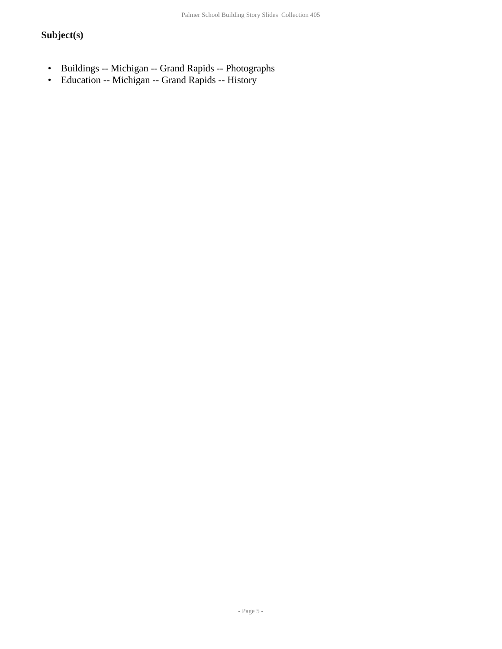### **Subject(s)**

- Buildings -- Michigan -- Grand Rapids -- Photographs
- Education -- Michigan -- Grand Rapids -- History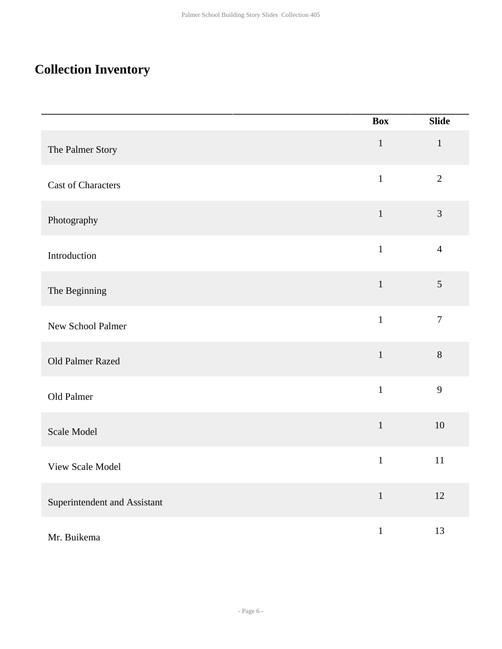# <span id="page-5-0"></span>**Collection Inventory**

|                              | <b>Box</b>   | <b>Slide</b>     |
|------------------------------|--------------|------------------|
| The Palmer Story             | $1\,$        | $\mathbf{1}$     |
| <b>Cast of Characters</b>    | $\mathbf{1}$ | $\overline{2}$   |
| Photography                  | $1\,$        | $\mathfrak{Z}$   |
| Introduction                 | $\mathbf{1}$ | $\overline{4}$   |
| The Beginning                | $\mathbf{1}$ | $\sqrt{5}$       |
| New School Palmer            | $\mathbf 1$  | $\boldsymbol{7}$ |
| Old Palmer Razed             | $\mathbf 1$  | $8\,$            |
| Old Palmer                   | $\mathbf{1}$ | 9                |
| Scale Model                  | $\,1\,$      | $10\,$           |
| View Scale Model             | $\mathbf{1}$ | 11               |
| Superintendent and Assistant | $\mathbf 1$  | $12\,$           |
| Mr. Buikema                  | $\,1\,$      | 13               |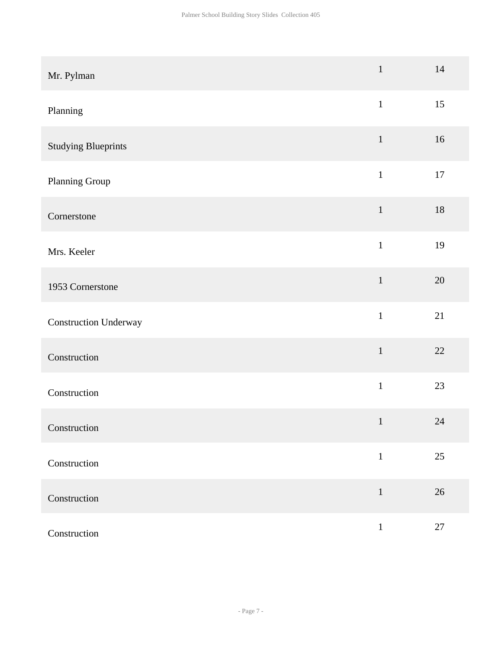| Mr. Pylman                   | $\,1\,$      | 14     |
|------------------------------|--------------|--------|
| Planning                     | $\mathbf{1}$ | 15     |
| <b>Studying Blueprints</b>   | $\mathbf{1}$ | 16     |
| Planning Group               | $\mathbf 1$  | $17\,$ |
| Cornerstone                  | $\,1\,$      | $18\,$ |
| Mrs. Keeler                  | $\mathbf{1}$ | 19     |
| 1953 Cornerstone             | $1\,$        | $20\,$ |
| <b>Construction Underway</b> | $\mathbf{1}$ | 21     |
| Construction                 | $\mathbf{1}$ | $22\,$ |
| Construction                 | $\mathbf{1}$ | 23     |
| Construction                 | $\mathbf{1}$ | 24     |
| Construction                 | $1\,$        | 25     |
| Construction                 | $\mathbf{1}$ | $26\,$ |
| Construction                 | $\mathbf{1}$ | $27\,$ |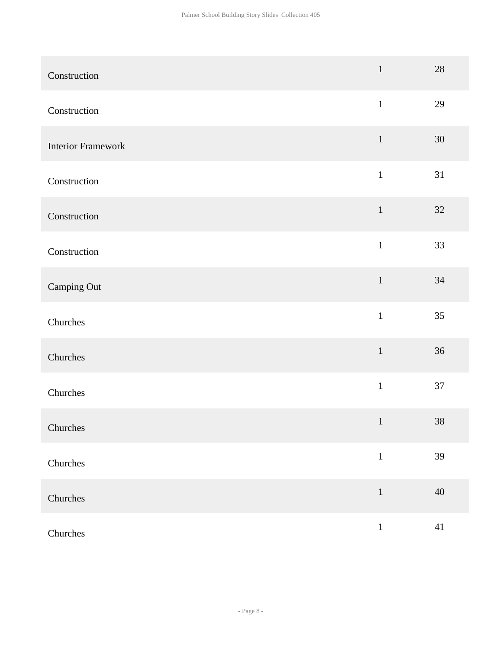| Construction              | $\mathbf{1}$ | $28\,$ |
|---------------------------|--------------|--------|
| Construction              | $1\,$        | 29     |
| <b>Interior Framework</b> | $\,1\,$      | $30\,$ |
| Construction              | $1\,$        | 31     |
| Construction              | $1\,$        | 32     |
| Construction              | $1\,$        | 33     |
| Camping Out               | $\mathbf 1$  | 34     |
| Churches                  | $\mathbf 1$  | 35     |
| Churches                  | $\,1\,$      | 36     |
| Churches                  | $\mathbf 1$  | 37     |
| Churches                  | $\mathbf 1$  | $38\,$ |
| Churches                  | $\mathbf 1$  | 39     |
| Churches                  | $\,1\,$      | 40     |
| Churches                  | $\,1\,$      | 41     |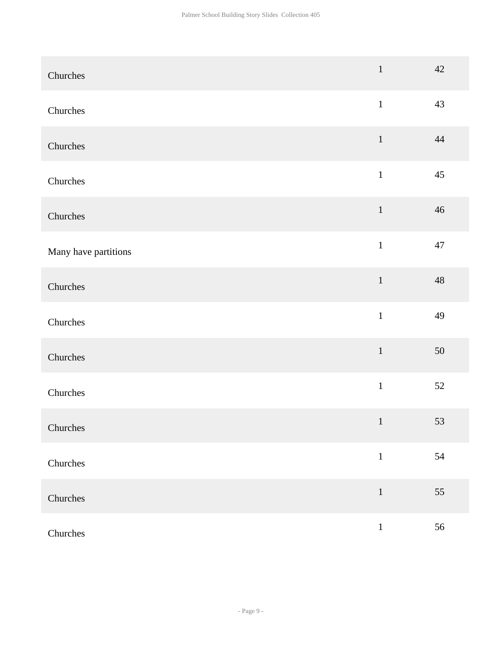| Churches             | $\mathbf 1$  | 42 |
|----------------------|--------------|----|
| Churches             | $\,1\,$      | 43 |
| Churches             | $\mathbf 1$  | 44 |
| Churches             | $1\,$        | 45 |
| Churches             | $1\,$        | 46 |
| Many have partitions | $\mathbf 1$  | 47 |
| Churches             | $1\,$        | 48 |
| Churches             | $\mathbf{1}$ | 49 |
| Churches             | $\mathbf 1$  | 50 |
| Churches             | $\,1\,$      | 52 |
| Churches             | $\mathbf 1$  | 53 |
| Churches             | $\mathbf{1}$ | 54 |
| Churches             | $\,1\,$      | 55 |
| Churches             | $\,1\,$      | 56 |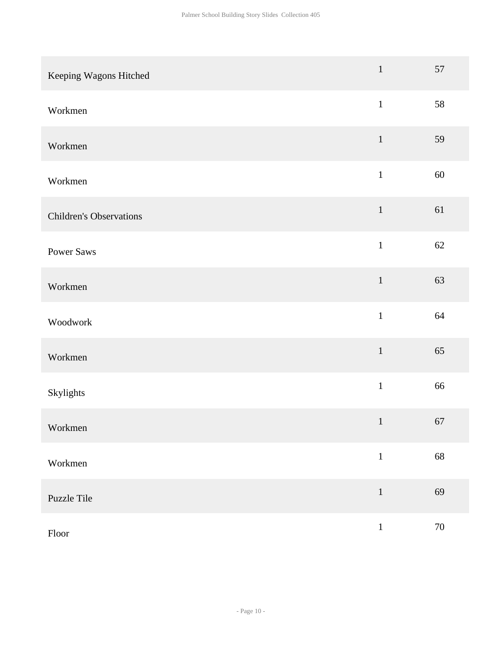| Keeping Wagons Hitched         | $\mathbf 1$   | 57     |
|--------------------------------|---------------|--------|
| Workmen                        | $\,1\,$       | 58     |
| Workmen                        | $\,1\,$       | 59     |
| Workmen                        | $\mathbbm{1}$ | 60     |
| <b>Children's Observations</b> | $\,1\,$       | 61     |
| Power Saws                     | $\mathbf{1}$  | 62     |
| Workmen                        | $\mathbf 1$   | 63     |
| Woodwork                       | $\,1$         | 64     |
| Workmen                        | $\,1\,$       | 65     |
| Skylights                      | $\,1$         | 66     |
| Workmen                        | $\mathbf 1$   | 67     |
| Workmen                        | $\,1\,$       | 68     |
| Puzzle Tile                    | $\,1\,$       | 69     |
| ${\rm Floor}$                  | $\,1\,$       | $70\,$ |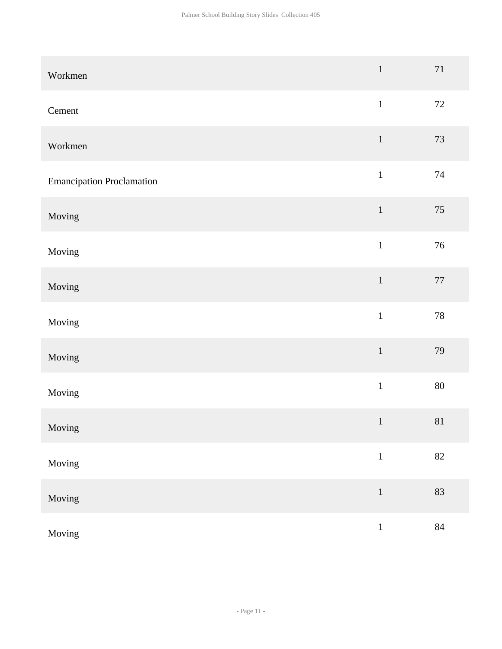| Workmen                          | $\,1\,$       | $71\,$ |
|----------------------------------|---------------|--------|
| Cement                           | $\,1\,$       | $72\,$ |
| Workmen                          | $\,1\,$       | $73\,$ |
| <b>Emancipation Proclamation</b> | $\,1\,$       | $74\,$ |
| Moving                           | $1\,$         | 75     |
| Moving                           | $\,1\,$       | 76     |
| Moving                           | $\,1\,$       | 77     |
| Moving                           | $\,1$         | $78\,$ |
| Moving                           | $\,1\,$       | 79     |
| Moving                           | $\,1\,$       | $80\,$ |
| Moving                           | $\,1\,$       | $81\,$ |
| Moving                           | $\,1\,$       | 82     |
| Moving                           | $\,1\,$       | 83     |
| Moving                           | $\mathbbm{1}$ | $84\,$ |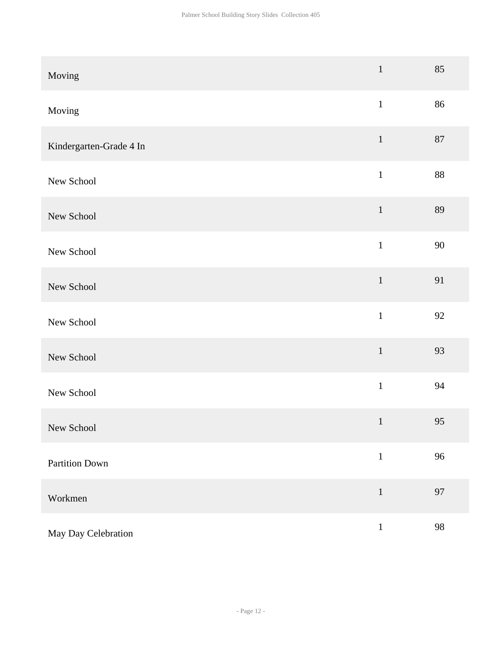| Moving                  | $\mathbf 1$ | 85     |
|-------------------------|-------------|--------|
| Moving                  | $\mathbf 1$ | 86     |
| Kindergarten-Grade 4 In | $\mathbf 1$ | $87\,$ |
| New School              | $\mathbf 1$ | 88     |
| New School              | $\mathbf 1$ | 89     |
| New School              | $\mathbf 1$ | 90     |
| New School              | $\mathbf 1$ | 91     |
| New School              | $\mathbf 1$ | 92     |
| New School              | $\,1\,$     | 93     |
| New School              | $\,1\,$     | 94     |
| New School              | $\mathbf 1$ | 95     |
| <b>Partition Down</b>   | $\,1\,$     | 96     |
| Workmen                 | $\,1\,$     | 97     |
| May Day Celebration     | $\,1\,$     | 98     |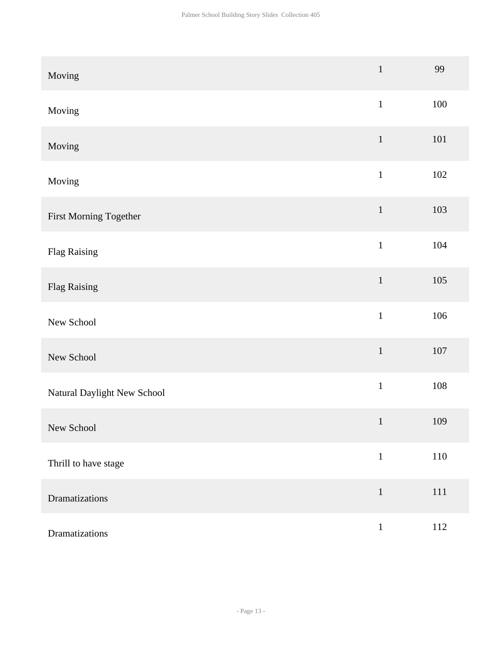| Moving                      | $\mathbf 1$  | 99      |
|-----------------------------|--------------|---------|
| Moving                      | $\mathbf{1}$ | $100\,$ |
| Moving                      | $\,1$        | 101     |
| Moving                      | $\mathbf{1}$ | $102\,$ |
| First Morning Together      | $\mathbf 1$  | 103     |
| Flag Raising                | $\mathbf{1}$ | 104     |
| <b>Flag Raising</b>         | $\,1\,$      | 105     |
| New School                  | $\mathbf 1$  | 106     |
| New School                  | $\,1$        | $107\,$ |
| Natural Daylight New School | $\,1\,$      | 108     |
| New School                  | $\mathbf{1}$ | 109     |
| Thrill to have stage        | $\mathbf 1$  | $110\,$ |
| Dramatizations              | $\mathbf{1}$ | 111     |
| Dramatizations              | $\mathbf{1}$ | $112\,$ |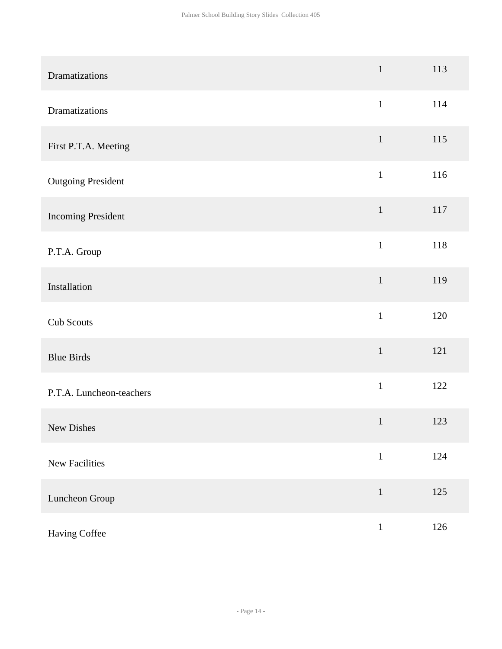| Dramatizations            | $\mathbf{1}$ | 113 |
|---------------------------|--------------|-----|
| Dramatizations            | $\mathbf{1}$ | 114 |
| First P.T.A. Meeting      | $1\,$        | 115 |
| <b>Outgoing President</b> | $\mathbf{1}$ | 116 |
| <b>Incoming President</b> | $\mathbf{1}$ | 117 |
| P.T.A. Group              | $\mathbf{1}$ | 118 |
| Installation              | $1\,$        | 119 |
| Cub Scouts                | $\mathbf{1}$ | 120 |
| <b>Blue Birds</b>         | $\mathbf 1$  | 121 |
| P.T.A. Luncheon-teachers  | $\mathbf 1$  | 122 |
| New Dishes                | $\mathbf{1}$ | 123 |
| New Facilities            | $\mathbf{1}$ | 124 |
| Luncheon Group            | $1\,$        | 125 |
| Having Coffee             | $\mathbf{1}$ | 126 |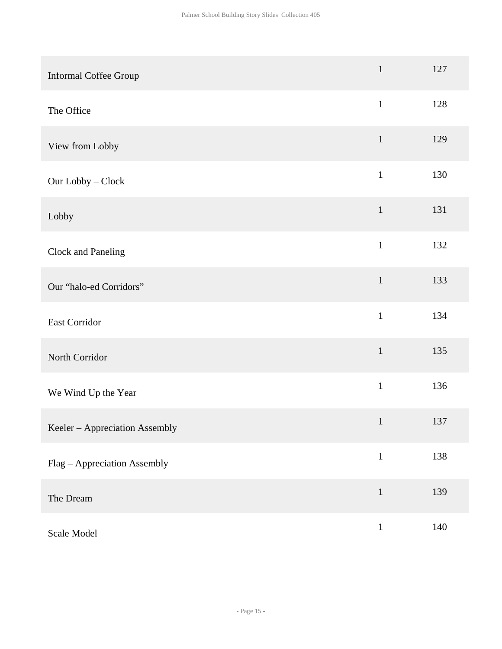| Informal Coffee Group          | $\mathbf{1}$ | 127 |
|--------------------------------|--------------|-----|
| The Office                     | $\mathbf{1}$ | 128 |
| View from Lobby                | $\mathbf{1}$ | 129 |
| Our Lobby - Clock              | $\mathbf 1$  | 130 |
| Lobby                          | $\mathbf{1}$ | 131 |
| Clock and Paneling             | $\mathbf{1}$ | 132 |
| Our "halo-ed Corridors"        | $\mathbf{1}$ | 133 |
| East Corridor                  | $\mathbf{1}$ | 134 |
| North Corridor                 | $\mathbf{1}$ | 135 |
| We Wind Up the Year            | $\mathbf 1$  | 136 |
| Keeler - Appreciation Assembly | $\mathbf{1}$ | 137 |
| Flag - Appreciation Assembly   | $\mathbf{1}$ | 138 |
| The Dream                      | $\mathbf 1$  | 139 |
| Scale Model                    | $\mathbf{1}$ | 140 |